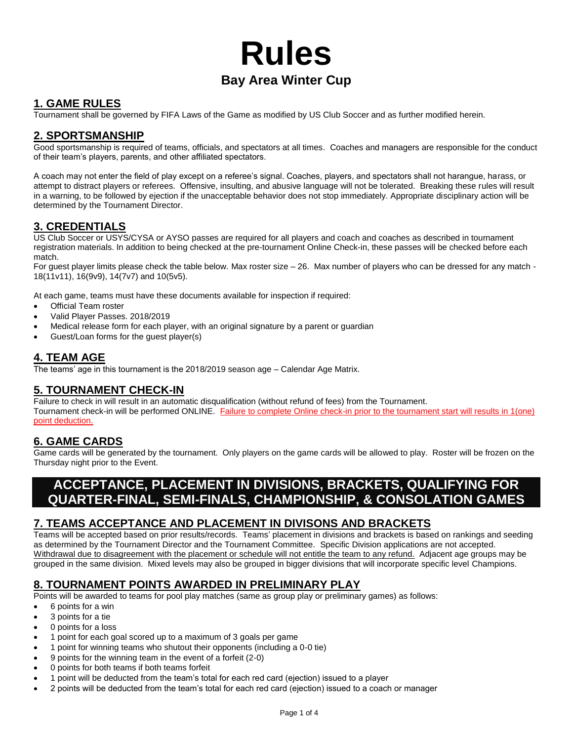# **Rules Bay Area Winter Cup**

# **1. GAME RULES**

Tournament shall be governed by FIFA Laws of the Game as modified by US Club Soccer and as further modified herein.

#### **2. SPORTSMANSHIP**

Good sportsmanship is required of teams, officials, and spectators at all times. Coaches and managers are responsible for the conduct of their team's players, parents, and other affiliated spectators.

A coach may not enter the field of play except on a referee's signal. Coaches, players, and spectators shall not harangue, harass, or attempt to distract players or referees. Offensive, insulting, and abusive language will not be tolerated. Breaking these rules will result in a warning, to be followed by ejection if the unacceptable behavior does not stop immediately. Appropriate disciplinary action will be determined by the Tournament Director.

# **3. CREDENTIALS**

US Club Soccer or USYS/CYSA or AYSO passes are required for all players and coach and coaches as described in tournament registration materials. In addition to being checked at the pre-tournament Online Check-in, these passes will be checked before each match.

For guest player limits please check the table below. Max roster size – 26. Max number of players who can be dressed for any match - 18(11v11), 16(9v9), 14(7v7) and 10(5v5).

At each game, teams must have these documents available for inspection if required:

- Official Team roster
- Valid Player Passes. 2018/2019
- Medical release form for each player, with an original signature by a parent or guardian
- Guest/Loan forms for the guest player(s)

#### **4. TEAM AGE**

The teams' age in this tournament is the 2018/2019 season age – Calendar Age Matrix.

#### **5. TOURNAMENT CHECK-IN**

Failure to check in will result in an automatic disqualification (without refund of fees) from the Tournament. Tournament check-in will be performed ONLINE. Failure to complete Online check-in prior to the tournament start will results in 1(one) point deduction.

# **6. GAME CARDS**

Game cards will be generated by the tournament. Only players on the game cards will be allowed to play. Roster will be frozen on the Thursday night prior to the Event.

# **ACCEPTANCE, PLACEMENT IN DIVISIONS, BRACKETS, QUALIFYING FOR QUARTER-FINAL, SEMI-FINALS, CHAMPIONSHIP, & CONSOLATION GAMES**

# **7. TEAMS ACCEPTANCE AND PLACEMENT IN DIVISONS AND BRACKETS**

Teams will be accepted based on prior results/records. Teams' placement in divisions and brackets is based on rankings and seeding as determined by the Tournament Director and the Tournament Committee. Specific Division applications are not accepted. Withdrawal due to disagreement with the placement or schedule will not entitle the team to any refund. Adjacent age groups may be grouped in the same division. Mixed levels may also be grouped in bigger divisions that will incorporate specific level Champions.

#### **8. TOURNAMENT POINTS AWARDED IN PRELIMINARY PLAY**

Points will be awarded to teams for pool play matches (same as group play or preliminary games) as follows:

- 6 points for a win
- 3 points for a tie
- 0 points for a loss
- 1 point for each goal scored up to a maximum of 3 goals per game
- 1 point for winning teams who shutout their opponents (including a 0-0 tie)
- 9 points for the winning team in the event of a forfeit (2-0)
- 0 points for both teams if both teams forfeit
- 1 point will be deducted from the team's total for each red card (ejection) issued to a player
- 2 points will be deducted from the team's total for each red card (ejection) issued to a coach or manager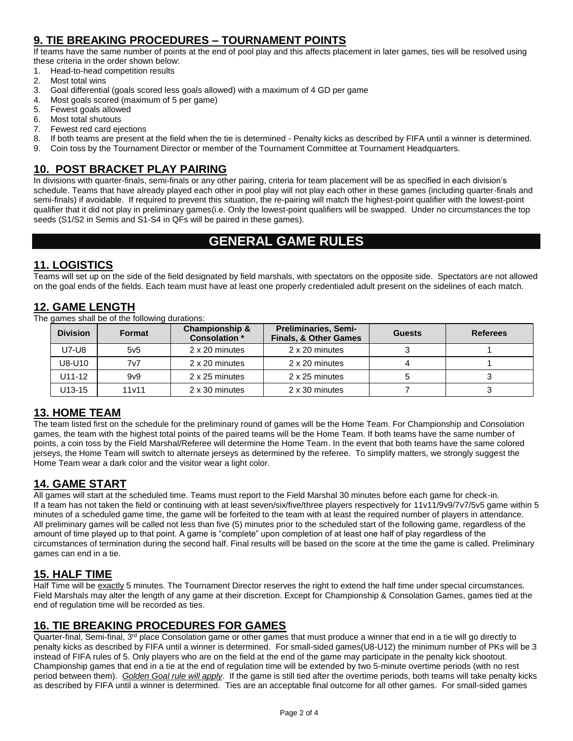# **9. TIE BREAKING PROCEDURES – TOURNAMENT POINTS**

If teams have the same number of points at the end of pool play and this affects placement in later games, ties will be resolved using these criteria in the order shown below:

1. Head-to-head competition results

- 2. Most total wins
- 3. Goal differential (goals scored less goals allowed) with a maximum of 4 GD per game
- 4. Most goals scored (maximum of 5 per game)
- 5. Fewest goals allowed
- 6. Most total shutouts
- 7. Fewest red card ejections
- 8. If both teams are present at the field when the tie is determined Penalty kicks as described by FIFA until a winner is determined.
- 9. Coin toss by the Tournament Director or member of the Tournament Committee at Tournament Headquarters.

# **10. POST BRACKET PLAY PAIRING**

In divisions with quarter-finals, semi-finals or any other pairing, criteria for team placement will be as specified in each division's schedule. Teams that have already played each other in pool play will not play each other in these games (including quarter-finals and semi-finals) if avoidable. If required to prevent this situation, the re-pairing will match the highest-point qualifier with the lowest-point qualifier that it did not play in preliminary games(i.e. Only the lowest-point qualifiers will be swapped. Under no circumstances the top seeds (S1/S2 in Semis and S1-S4 in QFs will be paired in these games).

# **GENERAL GAME RULES**

# **11. LOGISTICS**

Teams will set up on the side of the field designated by field marshals, with spectators on the opposite side. Spectators are not allowed on the goal ends of the fields. Each team must have at least one properly credentialed adult present on the sidelines of each match.

#### **12. GAME LENGTH**

The games shall be of the following durations:

| <b>Division</b> | <b>Format</b>     | <b>Championship &amp;</b><br><b>Consolation</b> * | <b>Preliminaries, Semi-</b><br>Finals, & Other Games | <b>Guests</b> | <b>Referees</b> |
|-----------------|-------------------|---------------------------------------------------|------------------------------------------------------|---------------|-----------------|
| U7-U8           | 5v5               | 2 x 20 minutes                                    | 2 x 20 minutes                                       |               |                 |
| U8-U10          | 7v7               | 2 x 20 minutes                                    | 2 x 20 minutes                                       |               |                 |
| $U11-12$        | 9 <sub>v</sub> 9  | 2 x 25 minutes                                    | 2 x 25 minutes                                       |               |                 |
| U13-15          | 11 <sub>v11</sub> | 2 x 30 minutes                                    | 2 x 30 minutes                                       |               |                 |

#### **13. HOME TEAM**

The team listed first on the schedule for the preliminary round of games will be the Home Team. For Championship and Consolation games, the team with the highest total points of the paired teams will be the Home Team. If both teams have the same number of points, a coin toss by the Field Marshal/Referee will determine the Home Team. In the event that both teams have the same colored jerseys, the Home Team will switch to alternate jerseys as determined by the referee. To simplify matters, we strongly suggest the Home Team wear a dark color and the visitor wear a light color.

#### **14. GAME START**

All games will start at the scheduled time. Teams must report to the Field Marshal 30 minutes before each game for check-in. If a team has not taken the field or continuing with at least seven/six/five/three players respectively for 11v11/9v9/7v7/5v5 game within 5 minutes of a scheduled game time, the game will be forfeited to the team with at least the required number of players in attendance. All preliminary games will be called not less than five (5) minutes prior to the scheduled start of the following game, regardless of the amount of time played up to that point. A game is "complete" upon completion of at least one half of play regardless of the circumstances of termination during the second half. Final results will be based on the score at the time the game is called. Preliminary games can end in a tie.

# **15. HALF TIME**

Half Time will be exactly 5 minutes. The Tournament Director reserves the right to extend the half time under special circumstances. Field Marshals may alter the length of any game at their discretion. Except for Championship & Consolation Games, games tied at the end of regulation time will be recorded as ties.

# **16. TIE BREAKING PROCEDURES FOR GAMES**

Quarter-final, Semi-final, 3<sup>rd</sup> place Consolation game or other games that must produce a winner that end in a tie will go directly to penalty kicks as described by FIFA until a winner is determined. For small-sided games(U8-U12) the minimum number of PKs will be 3 instead of FIFA rules of 5. Only players who are on the field at the end of the game may participate in the penalty kick shootout. Championship games that end in a tie at the end of regulation time will be extended by two 5-minute overtime periods (with no rest period between them). *Golden Goal rule will apply*. If the game is still tied after the overtime periods, both teams will take penalty kicks as described by FIFA until a winner is determined. Ties are an acceptable final outcome for all other games. For small-sided games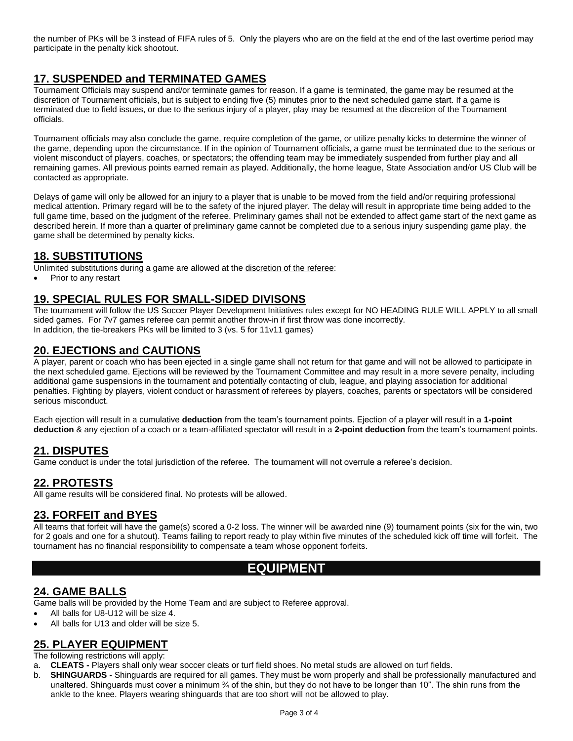the number of PKs will be 3 instead of FIFA rules of 5. Only the players who are on the field at the end of the last overtime period may participate in the penalty kick shootout.

# **17. SUSPENDED and TERMINATED GAMES**

Tournament Officials may suspend and/or terminate games for reason. If a game is terminated, the game may be resumed at the discretion of Tournament officials, but is subject to ending five (5) minutes prior to the next scheduled game start. If a game is terminated due to field issues, or due to the serious injury of a player, play may be resumed at the discretion of the Tournament officials.

Tournament officials may also conclude the game, require completion of the game, or utilize penalty kicks to determine the winner of the game, depending upon the circumstance. If in the opinion of Tournament officials, a game must be terminated due to the serious or violent misconduct of players, coaches, or spectators; the offending team may be immediately suspended from further play and all remaining games. All previous points earned remain as played. Additionally, the home league, State Association and/or US Club will be contacted as appropriate.

Delays of game will only be allowed for an injury to a player that is unable to be moved from the field and/or requiring professional medical attention. Primary regard will be to the safety of the injured player. The delay will result in appropriate time being added to the full game time, based on the judgment of the referee. Preliminary games shall not be extended to affect game start of the next game as described herein. If more than a quarter of preliminary game cannot be completed due to a serious injury suspending game play, the game shall be determined by penalty kicks.

# **18. SUBSTITUTIONS**

Unlimited substitutions during a game are allowed at the discretion of the referee:

• Prior to any restart

#### **19. SPECIAL RULES FOR SMALL-SIDED DIVISONS**

The tournament will follow the US Soccer Player Development Initiatives rules except for NO HEADING RULE WILL APPLY to all small sided games. For 7v7 games referee can permit another throw-in if first throw was done incorrectly. In addition, the tie-breakers PKs will be limited to 3 (vs. 5 for 11v11 games)

#### **20. EJECTIONS and CAUTIONS**

A player, parent or coach who has been ejected in a single game shall not return for that game and will not be allowed to participate in the next scheduled game. Ejections will be reviewed by the Tournament Committee and may result in a more severe penalty, including additional game suspensions in the tournament and potentially contacting of club, league, and playing association for additional penalties. Fighting by players, violent conduct or harassment of referees by players, coaches, parents or spectators will be considered serious misconduct.

Each ejection will result in a cumulative **deduction** from the team's tournament points. Ejection of a player will result in a **1-point deduction** & any ejection of a coach or a team-affiliated spectator will result in a **2-point deduction** from the team's tournament points.

# **21. DISPUTES**

Game conduct is under the total jurisdiction of the referee. The tournament will not overrule a referee's decision.

#### **22. PROTESTS**

All game results will be considered final. No protests will be allowed.

#### **23. FORFEIT and BYES**

All teams that forfeit will have the game(s) scored a 0-2 loss. The winner will be awarded nine (9) tournament points (six for the win, two for 2 goals and one for a shutout). Teams failing to report ready to play within five minutes of the scheduled kick off time will forfeit. The tournament has no financial responsibility to compensate a team whose opponent forfeits.

# **EQUIPMENT**

#### **24. GAME BALLS**

Game balls will be provided by the Home Team and are subject to Referee approval.

- All balls for U8-U12 will be size 4.
- All balls for U13 and older will be size 5.

#### **25. PLAYER EQUIPMENT**

The following restrictions will apply:

- a. **CLEATS -** Players shall only wear soccer cleats or turf field shoes. No metal studs are allowed on turf fields.
- b. **SHINGUARDS -** Shinguards are required for all games. They must be worn properly and shall be professionally manufactured and unaltered. Shinguards must cover a minimum % of the shin, but they do not have to be longer than 10". The shin runs from the ankle to the knee. Players wearing shinguards that are too short will not be allowed to play.